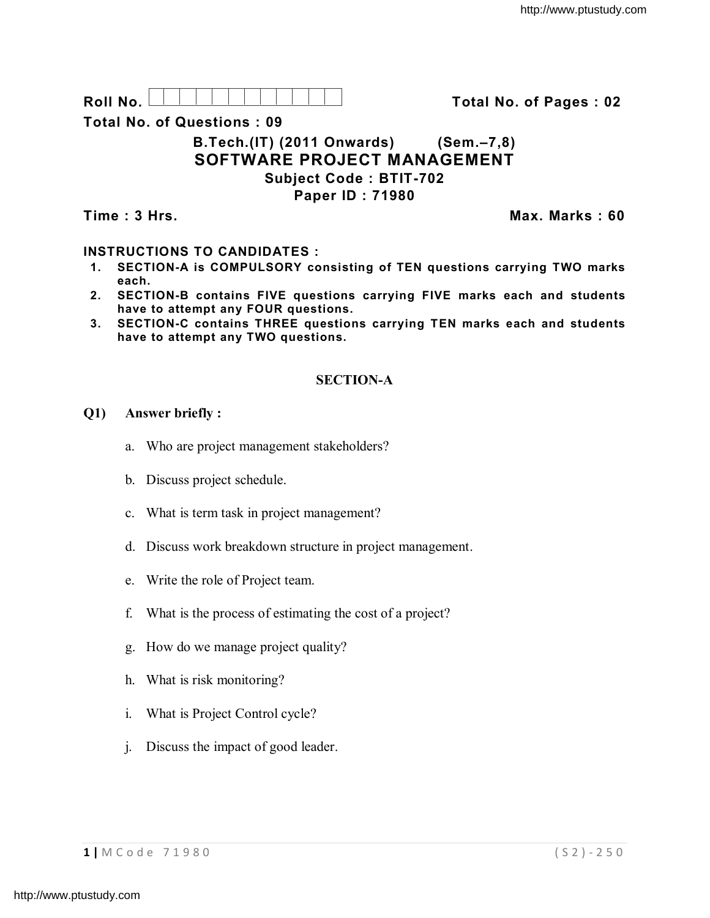**Roll No. Total No. of Pages : 02**

**Total No. of Questions : 09**

# **B.Tech.(IT) (2011 Onwards) (Sem.–7,8) SOFTWARE PROJECT MANAGEMENT Subject Code : BTIT-702 Paper ID : 71980**

**Time : 3 Hrs. Max. Marks : 60**

# **INSTRUCTIONS TO CANDIDATES :**

- **1. SECTION-A is COMPULSORY consisting of TEN questions carrying TWO marks each.**
- **2. SECTION-B contains FIVE questions carrying FIVE marks each and students have to attempt any FOUR questions.**
- **3. SECTION-C contains THREE questions carrying TEN marks each and students have to attempt any TWO questions.**

# **SECTION-A**

## **Q1) Answer briefly :**

- a. Who are project management stakeholders?
- b. Discuss project schedule.
- c. What is term task in project management?
- d. Discuss work breakdown structure in project management.
- e. Write the role of Project team.
- f. What is the process of estimating the cost of a project?
- g. How do we manage project quality?
- h. What is risk monitoring?
- i. What is Project Control cycle?
- j. Discuss the impact of good leader.